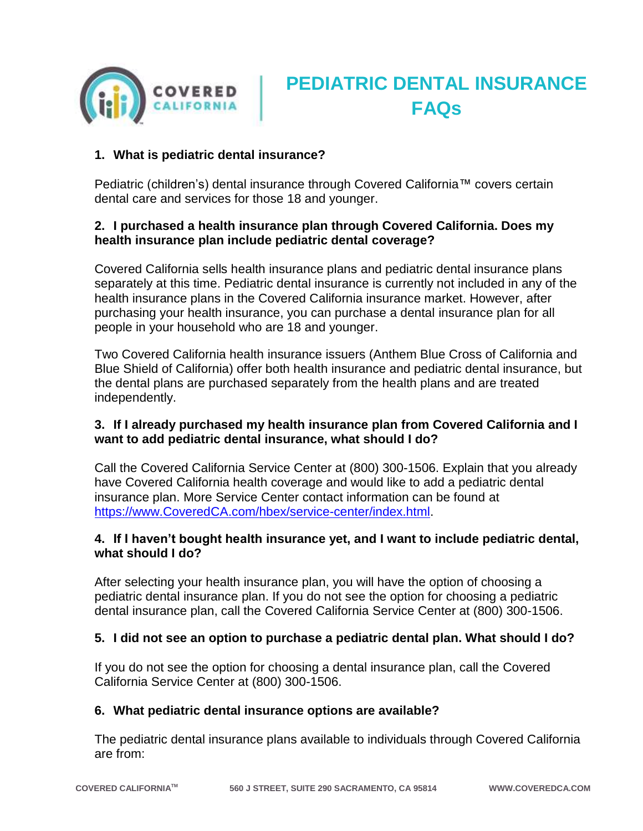

# **PEDIATRIC DENTAL INSURANCE FAQs**

## **1. What is pediatric dental insurance?**

Pediatric (children's) dental insurance through Covered California™ covers certain dental care and services for those 18 and younger.

## **2. I purchased a health insurance plan through Covered California. Does my health insurance plan include pediatric dental coverage?**

Covered California sells health insurance plans and pediatric dental insurance plans separately at this time. Pediatric dental insurance is currently not included in any of the health insurance plans in the Covered California insurance market. However, after purchasing your health insurance, you can purchase a dental insurance plan for all people in your household who are 18 and younger.

Two Covered California health insurance issuers (Anthem Blue Cross of California and Blue Shield of California) offer both health insurance and pediatric dental insurance, but the dental plans are purchased separately from the health plans and are treated independently.

## **3. If I already purchased my health insurance plan from Covered California and I want to add pediatric dental insurance, what should I do?**

Call the Covered California Service Center at (800) 300-1506. Explain that you already have Covered California health coverage and would like to add a pediatric dental insurance plan. More Service Center contact information can be found at https://www.CoveredCA.com/hbex/service-center/index.html.

### **4. If I haven't bought health insurance yet, and I want to include pediatric dental, what should I do?**

After selecting your health insurance plan, you will have the option of choosing a pediatric dental insurance plan. If you do not see the option for choosing a pediatric dental insurance plan, call the Covered California Service Center at (800) 300-1506.

### **5. I did not see an option to purchase a pediatric dental plan. What should I do?**

If you do not see the option for choosing a dental insurance plan, call the Covered California Service Center at (800) 300-1506.

### **6. What pediatric dental insurance options are available?**

The pediatric dental insurance plans available to individuals through Covered California are from: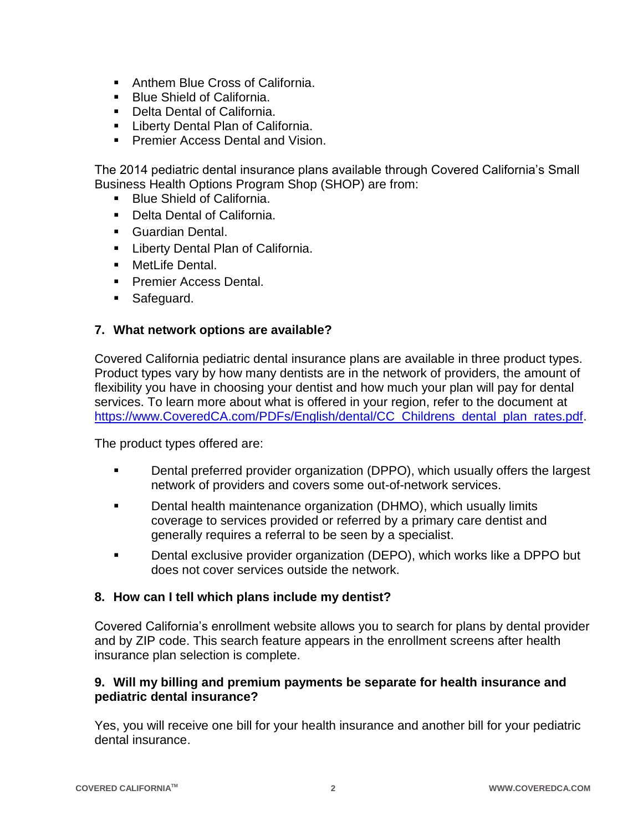- Anthem Blue Cross of California.
- **Blue Shield of California.**
- Delta Dental of California.
- **E.** Liberty Dental Plan of California.
- **Premier Access Dental and Vision.**

The 2014 pediatric dental insurance plans available through Covered California's Small Business Health Options Program Shop (SHOP) are from:

- **Blue Shield of California.**
- Delta Dental of California.
- **Guardian Dental.**
- **E.** Liberty Dental Plan of California.
- **NetLife Dental.**
- **Premier Access Dental.**
- **Safeguard.**

### **7. What network options are available?**

Covered California pediatric dental insurance plans are available in three product types. Product types vary by how many dentists are in the network of providers, the amount of flexibility you have in choosing your dentist and how much your plan will pay for dental services. To learn more about what is offered in your region, refer to the document at https://www.CoveredCA.com/PDFs/English/dental/CC\_Childrens\_dental\_plan\_rates.pdf.

The product types offered are:

- **•** Dental preferred provider organization (DPPO), which usually offers the largest network of providers and covers some out-of-network services.
- **Dental health maintenance organization (DHMO), which usually limits** coverage to services provided or referred by a primary care dentist and generally requires a referral to be seen by a specialist.
- **Dental exclusive provider organization (DEPO), which works like a DPPO but** does not cover services outside the network.

### **8. How can I tell which plans include my dentist?**

Covered California's enrollment website allows you to search for plans by dental provider and by ZIP code. This search feature appears in the enrollment screens after health insurance plan selection is complete.

### **9. Will my billing and premium payments be separate for health insurance and pediatric dental insurance?**

Yes, you will receive one bill for your health insurance and another bill for your pediatric dental insurance.